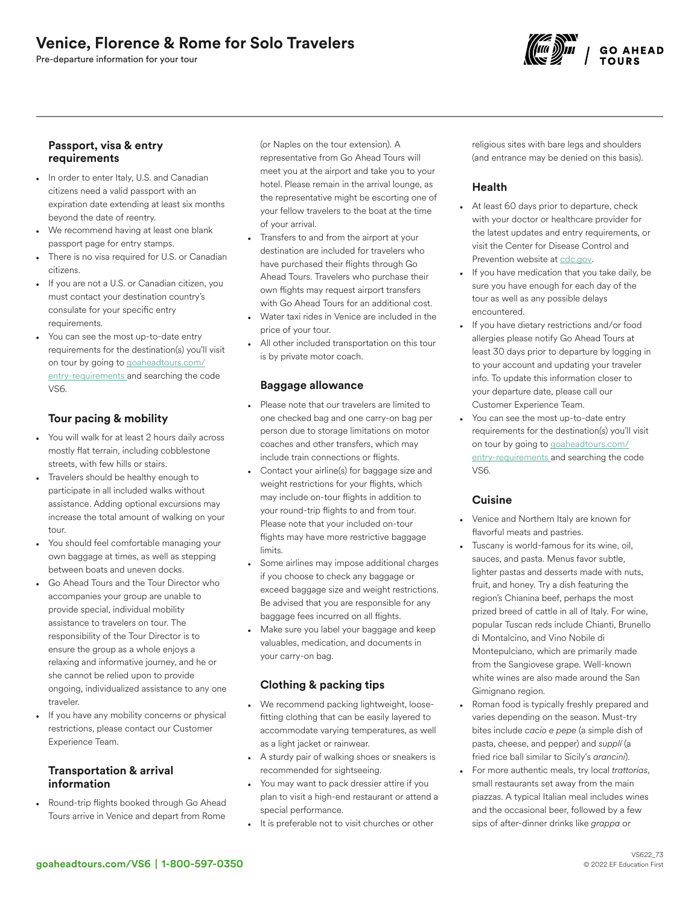# Venice, Florence & Rome for Solo Travelers

Pre-departure information for your tour



#### Passport, visa & entry requirements

- In order to enter Italy, U.S. and Canadian citizens need a valid passport with an expiration date extending at least six months beyond the date of reentry.
- We recommend having at least one blank passport page for entry stamps.
- There is no visa required for U.S. or Canadian citizens.
- If you are not a U.S. or Canadian citizen, you must contact your destination country's consulate for your specific entry requirements.
- You can see the most up-to-date entry requirements for the destination(s) you'll visit on tour by going to [goaheadtours.com/](/entry-requirements?tourCode=VS6) [entry-requirements](/entry-requirements?tourCode=VS6) and searching the code VS6.

# Tour pacing & mobility

- You will walk for at least 2 hours daily across mostly flat terrain, including cobblestone streets, with few hills or stairs.
- Travelers should be healthy enough to participate in all included walks without assistance. Adding optional excursions may increase the total amount of walking on your tour.
- You should feel comfortable managing your own baggage at times, as well as stepping between boats and uneven docks.
- Go Ahead Tours and the Tour Director who accompanies your group are unable to provide special, individual mobility assistance to travelers on tour. The responsibility of the Tour Director is to ensure the group as a whole enjoys a relaxing and informative journey, and he or she cannot be relied upon to provide ongoing, individualized assistance to any one traveler.
- If you have any mobility concerns or physical restrictions, please contact our Customer Experience Team.

## Transportation & arrival information

• Round-trip flights booked through Go Ahead Tours arrive in Venice and depart from Rome (or Naples on the tour extension). A representative from Go Ahead Tours will meet you at the airport and take you to your hotel. Please remain in the arrival lounge, as the representative might be escorting one of your fellow travelers to the boat at the time of your arrival.

- Transfers to and from the airport at your destination are included for travelers who have purchased their flights through Go Ahead Tours. Travelers who purchase their own flights may request airport transfers with Go Ahead Tours for an additional cost.
- Water taxi rides in Venice are included in the price of your tour.
- All other included transportation on this tour is by private motor coach.

## Baggage allowance

- Please note that our travelers are limited to one checked bag and one carry-on bag per person due to storage limitations on motor coaches and other transfers, which may include train connections or flights.
- Contact your airline(s) for baggage size and weight restrictions for your flights, which may include on-tour flights in addition to your round-trip flights to and from tour. Please note that your included on-tour flights may have more restrictive baggage limits.
- Some airlines may impose additional charges if you choose to check any baggage or exceed baggage size and weight restrictions. Be advised that you are responsible for any baggage fees incurred on all flights.
- Make sure you label your baggage and keep valuables, medication, and documents in your carry-on bag.

## Clothing & packing tips

- We recommend packing lightweight, loosefitting clothing that can be easily layered to accommodate varying temperatures, as well as a light jacket or rainwear.
- A sturdy pair of walking shoes or sneakers is recommended for sightseeing.
- You may want to pack dressier attire if you plan to visit a high-end restaurant or attend a special performance.
- It is preferable not to visit churches or other

religious sites with bare legs and shoulders (and entrance may be denied on this basis).

## Health

- At least 60 days prior to departure, check with your doctor or healthcare provider for the latest updates and entry requirements, or visit the Center for Disease Control and Prevention website at [cdc.gov.](https://www.cdc.gov/)
- If you have medication that you take daily, be sure you have enough for each day of the tour as well as any possible delays encountered.
- If you have dietary restrictions and/or food allergies please notify Go Ahead Tours at least 30 days prior to departure by logging in to your account and updating your traveler info. To update this information closer to your departure date, please call our Customer Experience Team.
- You can see the most up-to-date entry requirements for the destination(s) you'll visit on tour by going to [goaheadtours.com/](/entry-requirements?tourCode=VS6) [entry-requirements](/entry-requirements?tourCode=VS6) and searching the code VS6.

## **Cuisine**

- Venice and Northern Italy are known for flavorful meats and pastries.
- Tuscany is world-famous for its wine, oil, sauces, and pasta. Menus favor subtle, lighter pastas and desserts made with nuts, fruit, and honey. Try a dish featuring the region's Chianina beef, perhaps the most prized breed of cattle in all of Italy. For wine, popular Tuscan reds include Chianti, Brunello di Montalcino, and Vino Nobile di Montepulciano, which are primarily made from the Sangiovese grape. Well-known white wines are also made around the San Gimignano region.
- Roman food is typically freshly prepared and varies depending on the season. Must-try bites include *cacio e pepe* (a simple dish of pasta, cheese, and pepper) and *supplí* (a fried rice ball similar to Sicily's *arancini*).
- For more authentic meals, try local *trattorias*, small restaurants set away from the main piazzas. A typical Italian meal includes wines and the occasional beer, followed by a few sips of after-dinner drinks like *grappa* or